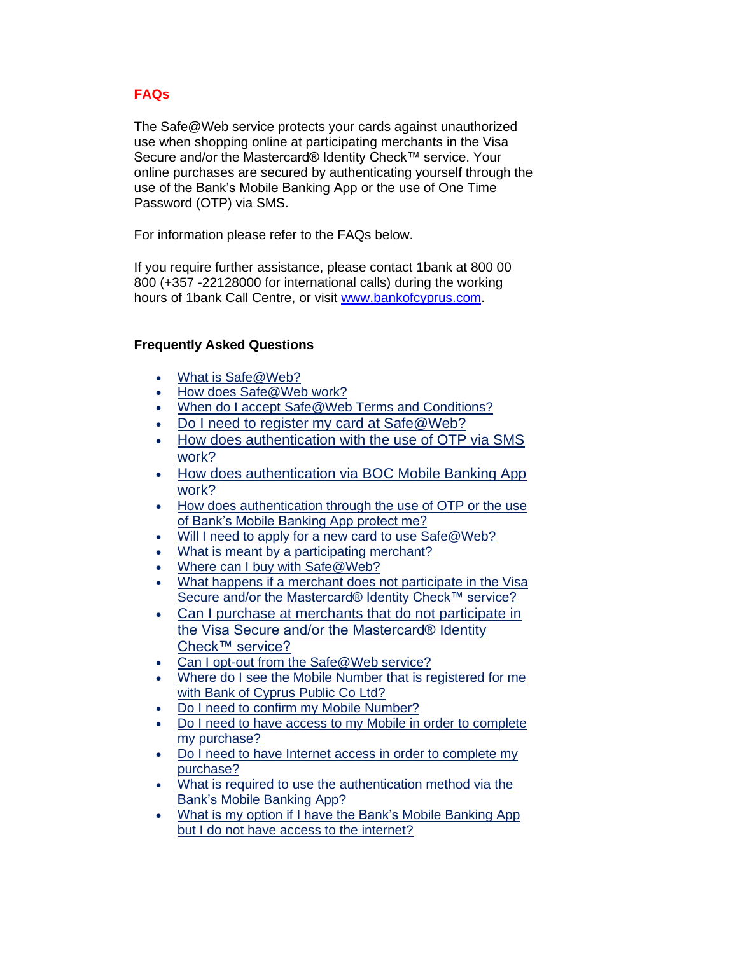# **FAQs**

The Safe@Web service protects your cards against unauthorized use when shopping online at participating merchants in the Visa Secure and/or the Mastercard® Identity Check™ service. Your online purchases are secured by authenticating yourself through the use of the Bank's Mobile Banking App or the use of One Time Password (OTP) via SMS.

For information please refer to the FAQs below.

If you require further assistance, please contact 1bank at 800 00 800 (+357 -22128000 for international calls) during the working hours of 1bank Call Centre, or visit [www.bankofcyprus.com.](http://www.bankofcyprus.com.cy/en-GB/)

# **Frequently Asked Questions**

- [What is Safe@Web?](https://3ds.jccsecure.com/vpas/JCC_BOC_Visa/enroll/faq.jsp?bankid=6&locale=en_US&auth_token=652263856&form_id=-1393997131#_What_is_Safe@Web?)
- [How does Safe@Web work?](https://3ds.jccsecure.com/vpas/JCC_BOC_Visa/enroll/faq.jsp?bankid=6&locale=en_US&auth_token=652263856&form_id=-1393997131#_How_does_Safe@Web)
- When do I accept Safe@Web Terms and Conditions?
- Do I need to register my card at Safe@Web?
- How does authentication with the use of OTP via SMS work?
- How does authentication via BOC Mobile Banking App work?
- How does authentication through the use of OTP or the use of Bank's Mobile Banking App protect me?
- [Will I need to apply for a new card to use Safe@Web?](https://3ds.jccsecure.com/vpas/JCC_BOC_Visa/enroll/faq.jsp?bankid=6&locale=en_US&auth_token=652263856&form_id=-1393997131#_Will_I_need)
- [What is meant by a participating merchant?](https://3ds.jccsecure.com/vpas/JCC_BOC_Visa/enroll/faq.jsp?bankid=6&locale=en_US&auth_token=652263856&form_id=-1393997131#_What_is_meant_by_participating_merchant)
- [Where can I buy with Safe@Web?](https://3ds.jccsecure.com/vpas/JCC_BOC_Visa/enroll/faq.jsp?bankid=6&locale=en_US&auth_token=652263856&form_id=-1393997131#_Where_can_I)
- What happens if a merchant does not participate in the Visa Secure and/or the Mastercard® Identity Check™ service?
- [Can I purchase at merchants that do not participate in](https://3ds.jccsecure.com/vpas/JCC_BOC_Visa/enroll/faq.jsp?bankid=6&locale=en_US&auth_token=652263856&form_id=-1393997131#_Can_I_purchase)  [the Visa Secure and/or the Mastercard®](https://3ds.jccsecure.com/vpas/JCC_BOC_Visa/enroll/faq.jsp?bankid=6&locale=en_US&auth_token=652263856&form_id=-1393997131#_Can_I_purchase) Identity [Check™ service?](https://3ds.jccsecure.com/vpas/JCC_BOC_Visa/enroll/faq.jsp?bankid=6&locale=en_US&auth_token=652263856&form_id=-1393997131#_Can_I_purchase)
- Can I opt-out from the Safe@Web service?
- Where do I see the Mobile Number that is registered for me with Bank of Cyprus Public Co Ltd?
- Do I need to confirm my Mobile Number?
- Do I need to have access to my Mobile in order to complete my purchase?
- Do I need to have Internet access in order to complete my purchase?
- What is required to use the authentication method via the Bank's Mobile Banking App?
- What is my option if I have the Bank's Mobile Banking App but I do not have access to the internet?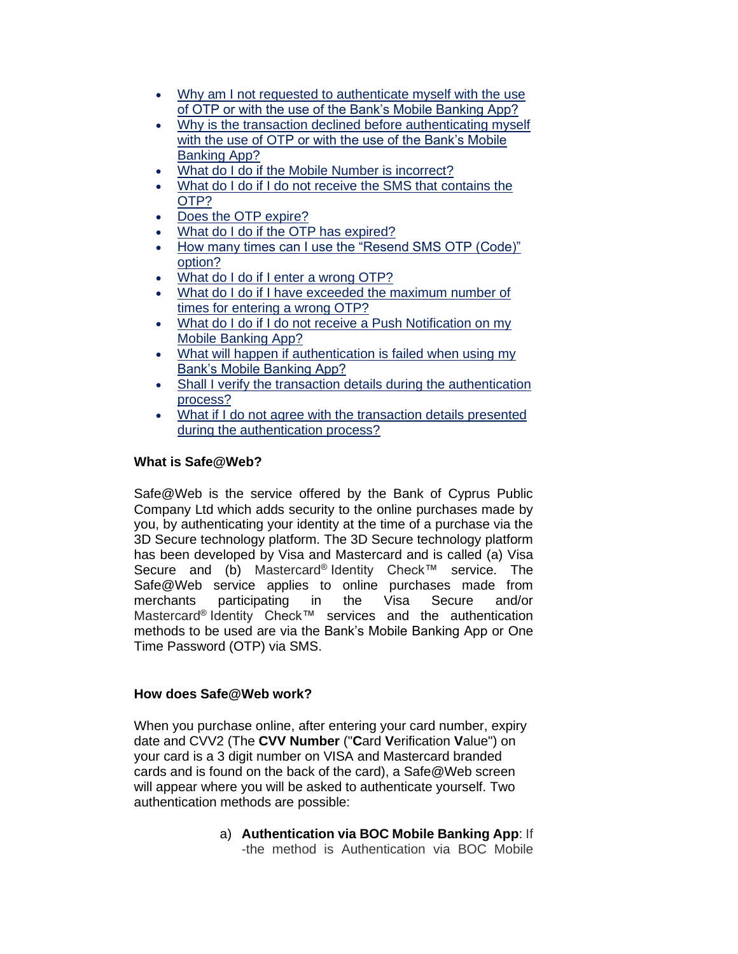- Why am I not requested to authenticate myself with the use of OTP or with the use of the Bank's Mobile Banking App?
- Why is the transaction declined before authenticating myself with the use of OTP or with the use of the Bank's Mobile Banking App?
- What do I do if the Mobile Number is incorrect?
- What do I do if I do not receive the SMS that contains the OTP?
- Does the OTP expire?
- What do I do if the OTP has expired?
- How many times can I use the "Resend SMS OTP (Code)" option?
- What do I do if I enter a wrong OTP?
- What do I do if I have exceeded the maximum number of times for entering a wrong OTP?
- What do I do if I do not receive a Push Notification on my Mobile Banking App?
- What will happen if authentication is failed when using my Bank's Mobile Banking App?
- Shall I verify the transaction details during the authentication process?
- What if I do not agree with the transaction details presented during the authentication process?

# **What is Safe@Web?**

Safe@Web is the service offered by the Bank of Cyprus Public Company Ltd which adds security to the online purchases made by you, by authenticating your identity at the time of a purchase via the 3D Secure technology platform. The 3D Secure technology platform has been developed by Visa and Mastercard and is called (a) Visa Secure and (b) Mastercard® Identity Check™ service. The Safe@Web service applies to online purchases made from merchants participating in the Visa Secure and/or Mastercard® Identity Check™ services and the authentication methods to be used are via the Bank's Mobile Banking App or One Time Password (OTP) via SMS.

# **How does Safe@Web work?**

When you purchase online, after entering your card number, expiry date and CVV2 (The **CVV Number** ("**C**ard **V**erification **V**alue") on your card is a 3 digit number on VISA and Mastercard branded cards and is found on the back of the card), a Safe@Web screen will appear where you will be asked to authenticate yourself. Two authentication methods are possible:

> a) **Authentication via BOC Mobile Banking App**: If -the method is Authentication via BOC Mobile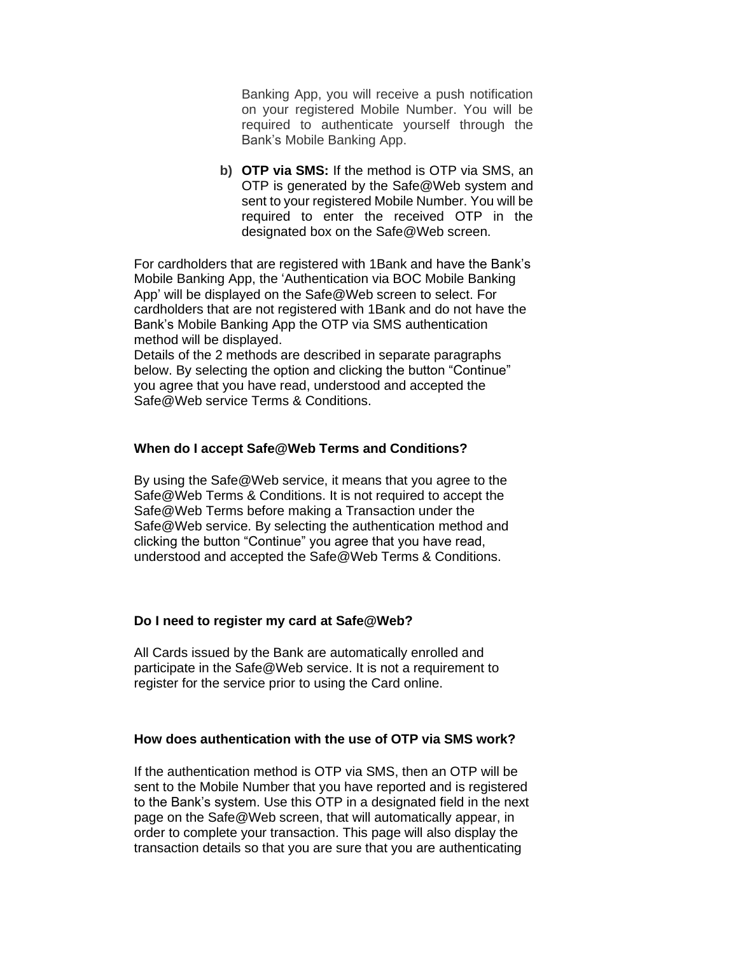Banking App, you will receive a push notification on your registered Mobile Number. You will be required to authenticate yourself through the Bank's Mobile Banking App.

**b) OTP via SMS:** If the method is OTP via SMS, an OTP is generated by the Safe@Web system and sent to your registered Mobile Number. You will be required to enter the received OTP in the designated box on the Safe@Web screen.

For cardholders that are registered with 1Bank and have the Bank's Mobile Banking App, the 'Authentication via BOC Mobile Banking App' will be displayed on the Safe@Web screen to select. For cardholders that are not registered with 1Bank and do not have the Bank's Mobile Banking App the OTP via SMS authentication method will be displayed.

Details of the 2 methods are described in separate paragraphs below. By selecting the option and clicking the button "Continue" you agree that you have read, understood and accepted the Safe@Web service Terms & Conditions.

#### **When do I accept Safe@Web Terms and Conditions?**

By using the Safe@Web service, it means that you agree to the Safe@Web Terms & Conditions. It is not required to accept the Safe@Web Terms before making a Transaction under the Safe@Web service. By selecting the authentication method and clicking the button "Continue" you agree that you have read, understood and accepted the Safe@Web Terms & Conditions.

#### **Do I need to register my card at Safe@Web?**

All Cards issued by the Bank are automatically enrolled and participate in the Safe@Web service. It is not a requirement to register for the service prior to using the Card online.

#### **How does authentication with the use of OTP via SMS work?**

If the authentication method is OTP via SMS, then an OTP will be sent to the Mobile Number that you have reported and is registered to the Bank's system. Use this OTP in a designated field in the next page on the Safe@Web screen, that will automatically appear, in order to complete your transaction. This page will also display the transaction details so that you are sure that you are authenticating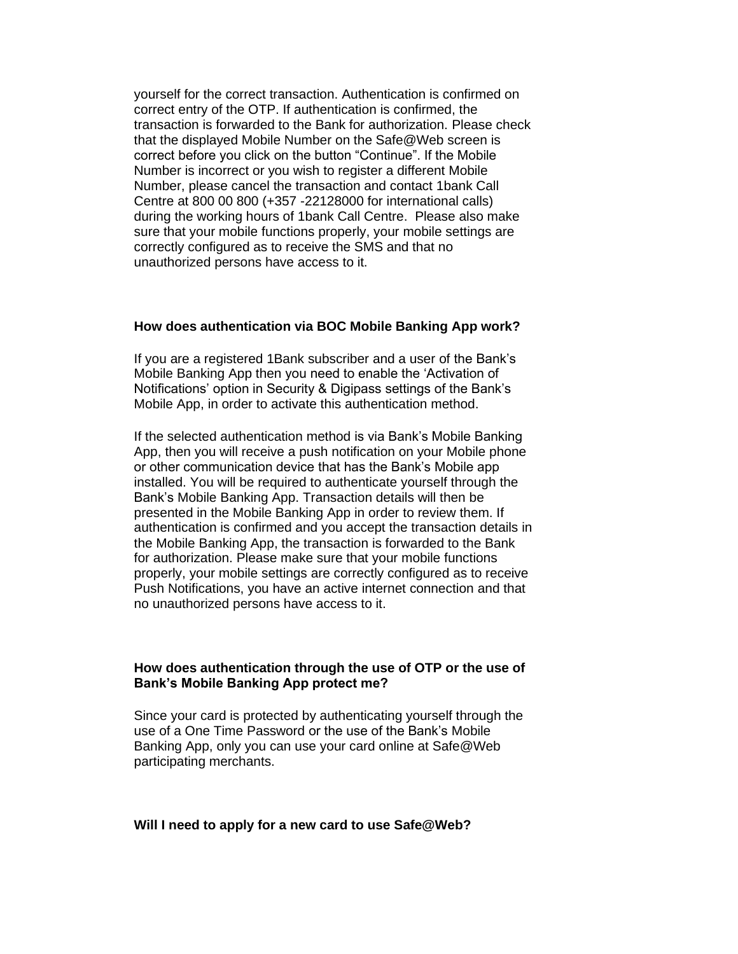yourself for the correct transaction. Authentication is confirmed on correct entry of the OTP. If authentication is confirmed, the transaction is forwarded to the Bank for authorization. Please check that the displayed Mobile Number on the Safe@Web screen is correct before you click on the button "Continue". If the Mobile Number is incorrect or you wish to register a different Mobile Number, please cancel the transaction and contact 1bank Call Centre at 800 00 800 (+357 -22128000 for international calls) during the working hours of 1bank Call Centre. Please also make sure that your mobile functions properly, your mobile settings are correctly configured as to receive the SMS and that no unauthorized persons have access to it.

#### **How does authentication via BOC Mobile Banking App work?**

If you are a registered 1Bank subscriber and a user of the Bank's Mobile Banking App then you need to enable the 'Activation of Notifications' option in Security & Digipass settings of the Bank's Mobile App, in order to activate this authentication method.

If the selected authentication method is via Bank's Mobile Banking App, then you will receive a push notification on your Mobile phone or other communication device that has the Bank's Mobile app installed. You will be required to authenticate yourself through the Bank's Mobile Banking App. Transaction details will then be presented in the Mobile Banking App in order to review them. If authentication is confirmed and you accept the transaction details in the Mobile Banking App, the transaction is forwarded to the Bank for authorization. Please make sure that your mobile functions properly, your mobile settings are correctly configured as to receive Push Notifications, you have an active internet connection and that no unauthorized persons have access to it.

### **How does authentication through the use of OTP or the use of Bank's Mobile Banking App protect me?**

Since your card is protected by authenticating yourself through the use of a One Time Password or the use of the Bank's Mobile Banking App, only you can use your card online at Safe@Web participating merchants.

#### **Will I need to apply for a new card to use Safe@Web?**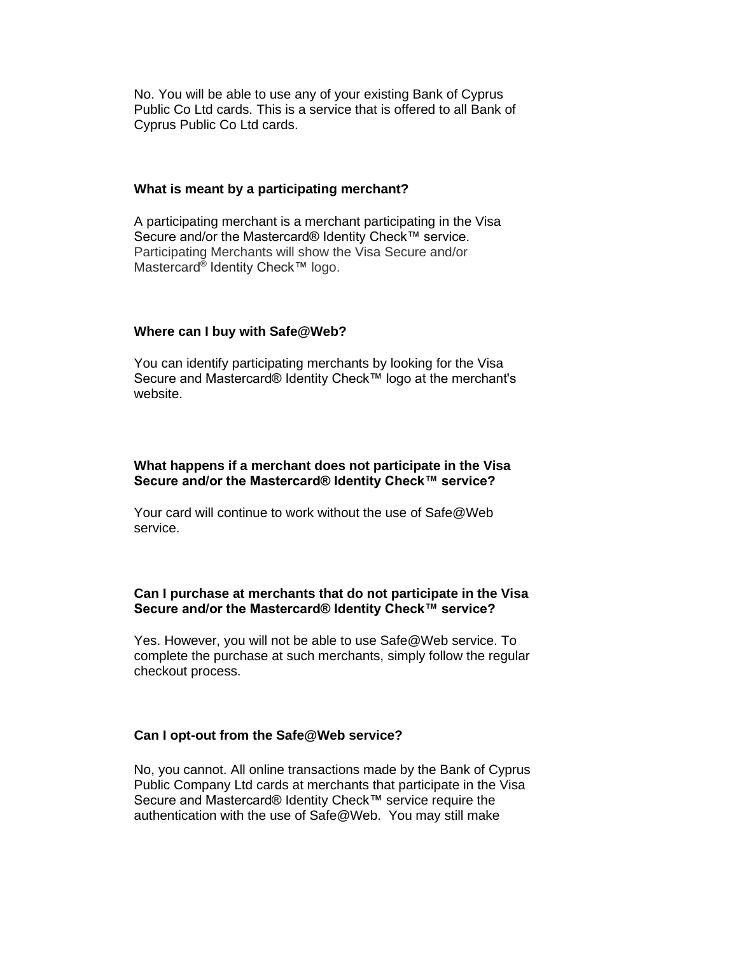No. You will be able to use any of your existing Bank of Cyprus Public Co Ltd cards. This is a service that is offered to all Bank of Cyprus Public Co Ltd cards.

#### **What is meant by a participating merchant?**

A participating merchant is a merchant participating in the Visa Secure and/or the Mastercard® Identity Check™ service. Participating Merchants will show the Visa Secure and/or Mastercard® Identity Check™ logo.

## **Where can I buy with Safe@Web?**

You can identify participating merchants by looking for the Visa Secure and Mastercard® Identity Check™ logo at the merchant's website.

## **What happens if a merchant does not participate in the Visa Secure and/or the Mastercard® Identity Check™ service?**

Your card will continue to work without the use of Safe@Web service.

## **Can I purchase at merchants that do not participate in the Visa Secure and/or the Mastercard® Identity Check™ service?**

Yes. However, you will not be able to use Safe@Web service. To complete the purchase at such merchants, simply follow the regular checkout process.

## **Can I opt-out from the Safe@Web service?**

No, you cannot. All online transactions made by the Bank of Cyprus Public Company Ltd cards at merchants that participate in the Visa Secure and Mastercard® Identity Check™ service require the authentication with the use of Safe@Web. You may still make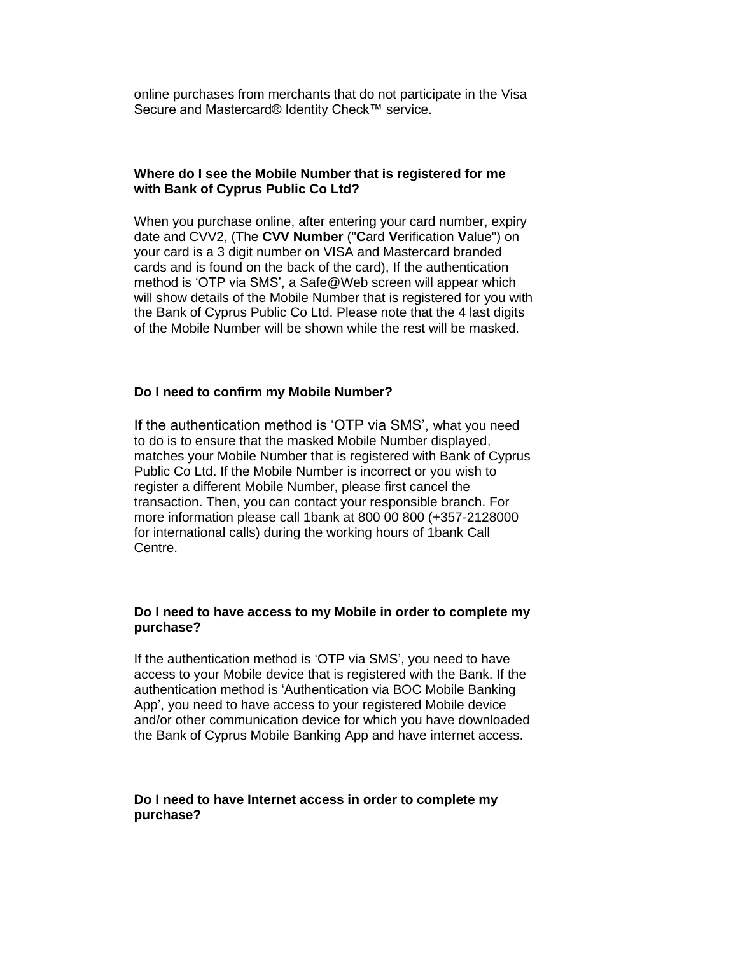online purchases from merchants that do not participate in the Visa Secure and Mastercard® Identity Check™ service.

#### **Where do I see the Mobile Number that is registered for me with Bank of Cyprus Public Co Ltd?**

When you purchase online, after entering your card number, expiry date and CVV2, (The **CVV Number** ("**C**ard **V**erification **V**alue") on your card is a 3 digit number on VISA and Mastercard branded cards and is found on the back of the card), If the authentication method is 'OTP via SMS', a Safe@Web screen will appear which will show details of the Mobile Number that is registered for you with the Bank of Cyprus Public Co Ltd. Please note that the 4 last digits of the Mobile Number will be shown while the rest will be masked.

## **Do I need to confirm my Mobile Number?**

If the authentication method is 'OTP via SMS', what you need to do is to ensure that the masked Mobile Number displayed, matches your Mobile Number that is registered with Bank of Cyprus Public Co Ltd. If the Mobile Number is incorrect or you wish to register a different Mobile Number, please first cancel the transaction. Then, you can contact your responsible branch. For more information please call 1bank at 800 00 800 (+357-2128000 for international calls) during the working hours of 1bank Call Centre.

## **Do I need to have access to my Mobile in order to complete my purchase?**

If the authentication method is 'OTP via SMS', you need to have access to your Mobile device that is registered with the Bank. If the authentication method is 'Authentication via BOC Mobile Banking App', you need to have access to your registered Mobile device and/or other communication device for which you have downloaded the Bank of Cyprus Mobile Banking App and have internet access.

## **Do I need to have Internet access in order to complete my purchase?**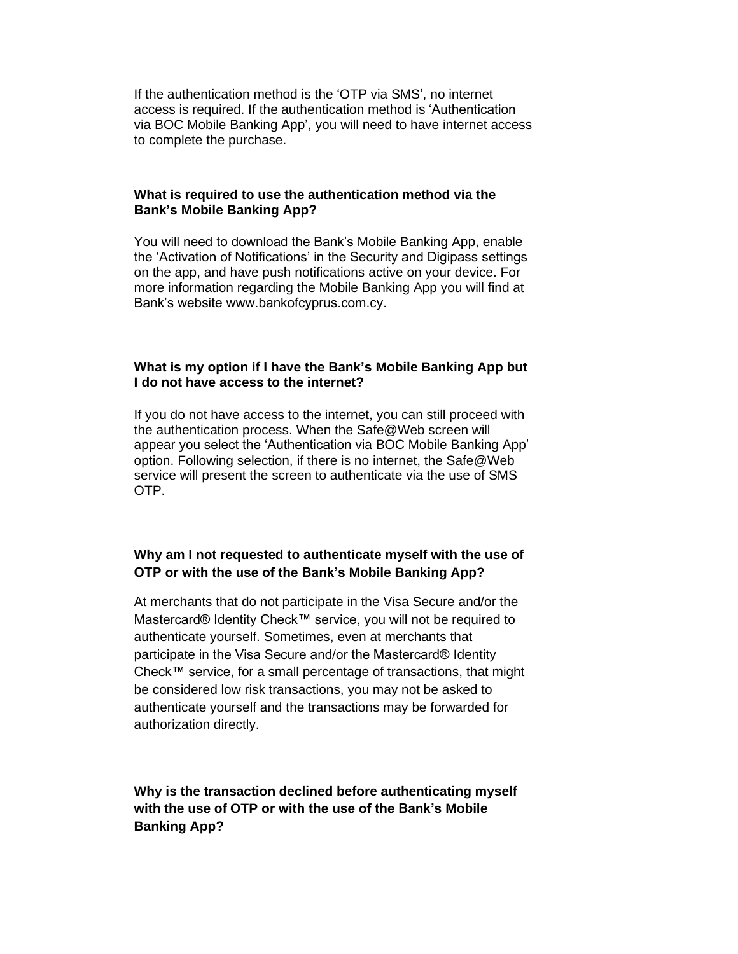If the authentication method is the 'OTP via SMS', no internet access is required. If the authentication method is 'Authentication via BOC Mobile Banking App', you will need to have internet access to complete the purchase.

#### **What is required to use the authentication method via the Bank's Mobile Banking App?**

You will need to download the Bank's Mobile Banking App, enable the 'Activation of Notifications' in the Security and Digipass settings on the app, and have push notifications active on your device. For more information regarding the Mobile Banking App you will find at Bank's website www.bankofcyprus.com.cy.

## **What is my option if I have the Bank's Mobile Banking App but I do not have access to the internet?**

If you do not have access to the internet, you can still proceed with the authentication process. When the Safe@Web screen will appear you select the 'Authentication via BOC Mobile Banking App' option. Following selection, if there is no internet, the Safe@Web service will present the screen to authenticate via the use of SMS OTP.

# **[Why am I not requested to a](https://3ds.jccsecure.com/vpas/JCC_BOC_Visa/enroll/faq.jsp?bankid=6&locale=en_US&auth_token=652263856&form_id=-1393997131#_Why_I_am)uthenticate myself with the use of OTP or with the use of the Bank's Mobile Banking App?**

At merchants that do not participate in the Visa Secure and/or the Mastercard® Identity Check™ service, you will not be required to authenticate yourself. Sometimes, even at merchants that participate in the Visa Secure and/or the Mastercard® Identity Check™ service, for a small percentage of transactions, that might be considered low risk transactions, you may not be asked to authenticate yourself and the transactions may be forwarded for authorization directly.

**Why is the [transaction declined before a](https://3ds.jccsecure.com/vpas/JCC_BOC_Visa/enroll/faq.jsp?bankid=6&locale=en_US&auth_token=652263856&form_id=-1393997131#_Why_I_am)uthenticating myself with the use of OTP or with the use of the Bank's Mobile Banking App?**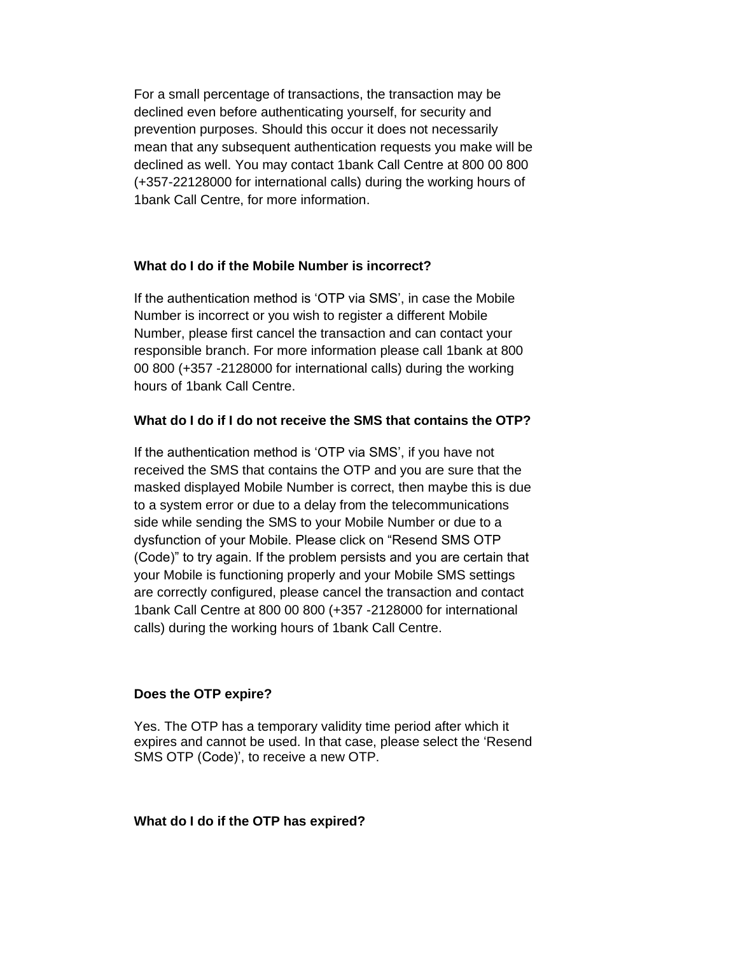For a small percentage of transactions, the transaction may be declined even before authenticating yourself, for security and prevention purposes. Should this occur it does not necessarily mean that any subsequent authentication requests you make will be declined as well. You may contact 1bank Call Centre at 800 00 800 (+357-22128000 for international calls) during the working hours of 1bank Call Centre, for more information.

## **What do I do if the Mobile Number is incorrect?**

If the authentication method is 'OTP via SMS', in case the Mobile Number is incorrect or you wish to register a different Mobile Number, please first cancel the transaction and can contact your responsible branch. For more information please call 1bank at 800 00 800 (+357 -2128000 for international calls) during the working hours of 1bank Call Centre.

## **What do I do if I do not receive the SMS that contains the OTP?**

If the authentication method is 'OTP via SMS', if you have not received the SMS that contains the OTP and you are sure that the masked displayed Mobile Number is correct, then maybe this is due to a system error or due to a delay from the telecommunications side while sending the SMS to your Mobile Number or due to a dysfunction of your Mobile. Please click on "Resend SMS OTP (Code)" to try again. If the problem persists and you are certain that your Mobile is functioning properly and your Mobile SMS settings are correctly configured, please cancel the transaction and contact 1bank Call Centre at 800 00 800 (+357 -2128000 for international calls) during the working hours of 1bank Call Centre.

#### **Does the OTP expire?**

Yes. The OTP has a temporary validity time period after which it expires and cannot be used. In that case, please select the 'Resend SMS OTP (Code)', to receive a new OTP.

#### **What do I do if the OTP has expired?**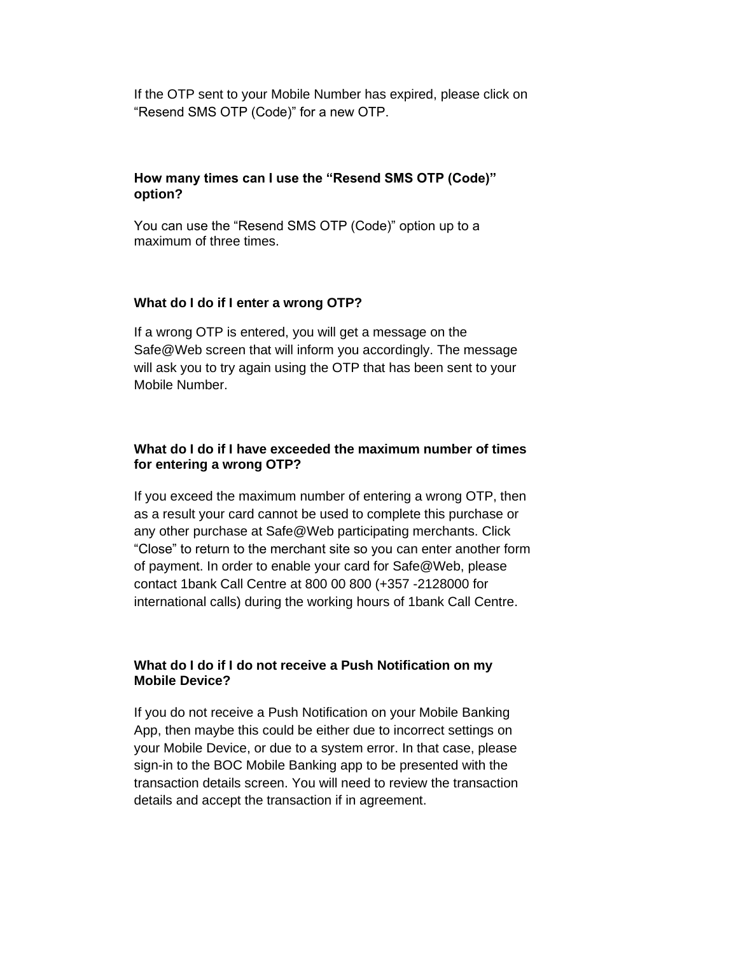If the OTP sent to your Mobile Number has expired, please click on "Resend SMS OTP (Code)" for a new OTP.

## **How many times can I use the "Resend SMS OTP (Code)" option?**

You can use the "Resend SMS OTP (Code)" option up to a maximum of three times.

#### **What do I do if I enter a wrong OTP?**

If a wrong OTP is entered, you will get a message on the Safe@Web screen that will inform you accordingly. The message will ask you to try again using the OTP that has been sent to your Mobile Number.

## **What do I do if I have exceeded the maximum number of times for entering a wrong OTP?**

If you exceed the maximum number of entering a wrong OTP, then as a result your card cannot be used to complete this purchase or any other purchase at Safe@Web participating merchants. Click "Close" to return to the merchant site so you can enter another form of payment. In order to enable your card for Safe@Web, please contact 1bank Call Centre at 800 00 800 (+357 -2128000 for international calls) during the working hours of 1bank Call Centre.

## **What do I do if I do not receive a Push Notification on my Mobile Device?**

If you do not receive a Push Notification on your Mobile Banking App, then maybe this could be either due to incorrect settings on your Mobile Device, or due to a system error. In that case, please sign-in to the BOC Mobile Banking app to be presented with the transaction details screen. You will need to review the transaction details and accept the transaction if in agreement.